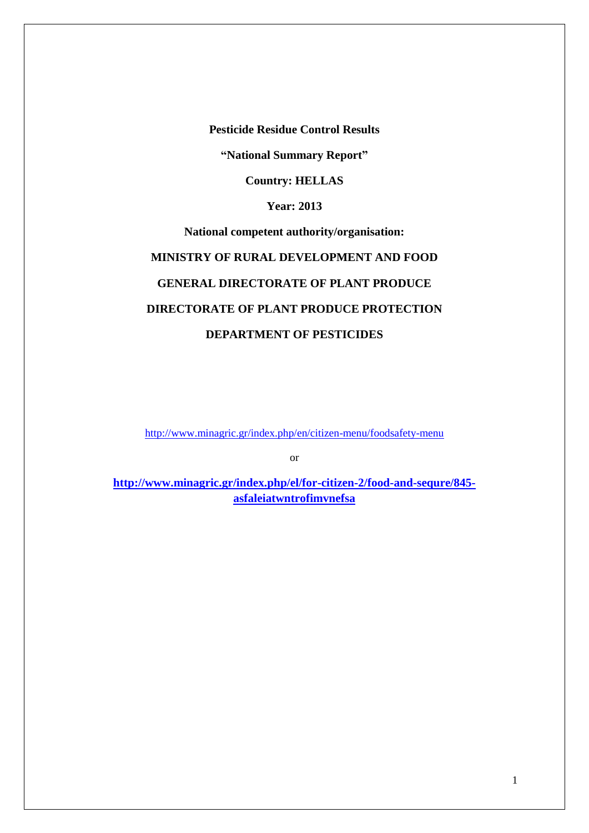**Pesticide Residue Control Results "National Summary Report" Country: HELLAS Year: 2013 National competent authority/organisation: MINISTRY OF RURAL DEVELOPMENT AND FOOD GENERAL DIRECTORATE OF PLANT PRODUCE DIRECTORATE OF PLANT PRODUCE PROTECTION**

## **DEPARTMENT OF PESTICIDES**

<http://www.minagric.gr/index.php/en/citizen-menu/foodsafety-menu>

or

**[http://www.minagric.gr/index.php/el/for-citizen-2/food-and-sequre/845](http://www.minagric.gr/index.php/el/for-citizen-2/food-and-sequre/845-asfaleiatwntrofimvnefsa) [asfaleiatwntrofimvnefsa](http://www.minagric.gr/index.php/el/for-citizen-2/food-and-sequre/845-asfaleiatwntrofimvnefsa)**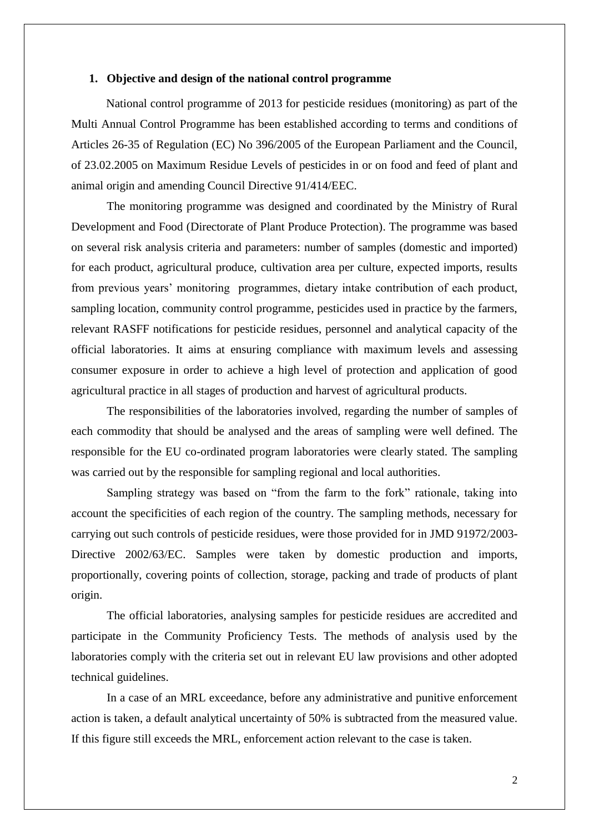#### **1. Objective and design of the national control programme**

National control programme of 2013 for pesticide residues (monitoring) as part of the Multi Annual Control Programme has been established according to terms and conditions of Articles 26-35 of Regulation (EC) No 396/2005 of the European Parliament and the Council, of 23.02.2005 on Maximum Residue Levels of pesticides in or on food and feed of plant and animal origin and amending Council Directive 91/414/EEC.

The monitoring programme was designed and coordinated by the Ministry of Rural Development and Food (Directorate of Plant Produce Protection). The programme was based on several risk analysis criteria and parameters: number of samples (domestic and imported) for each product, agricultural produce, cultivation area per culture, expected imports, results from previous years' monitoring programmes, dietary intake contribution of each product, sampling location, community control programme, pesticides used in practice by the farmers, relevant RASFF notifications for pesticide residues, personnel and analytical capacity of the official laboratories. It aims at ensuring compliance with maximum levels and assessing consumer exposure in order to achieve a high level of protection and application of good agricultural practice in all stages of production and harvest of agricultural products.

The responsibilities of the laboratories involved, regarding the number of samples of each commodity that should be analysed and the areas of sampling were well defined. The responsible for the EU co-ordinated program laboratories were clearly stated. The sampling was carried out by the responsible for sampling regional and local authorities.

Sampling strategy was based on "from the farm to the fork" rationale, taking into account the specificities of each region of the country. The sampling methods, necessary for carrying out such controls of pesticide residues, were those provided for in JMD 91972/2003- Directive 2002/63/EC. Samples were taken by domestic production and imports, proportionally, covering points of collection, storage, packing and trade of products of plant origin.

The official laboratories, analysing samples for pesticide residues are accredited and participate in the Community Proficiency Tests. The methods of analysis used by the laboratories comply with the criteria set out in relevant EU law provisions and other adopted technical guidelines.

In a case of an MRL exceedance, before any administrative and punitive enforcement action is taken, a default analytical uncertainty of 50% is subtracted from the measured value. If this figure still exceeds the MRL, enforcement action relevant to the case is taken.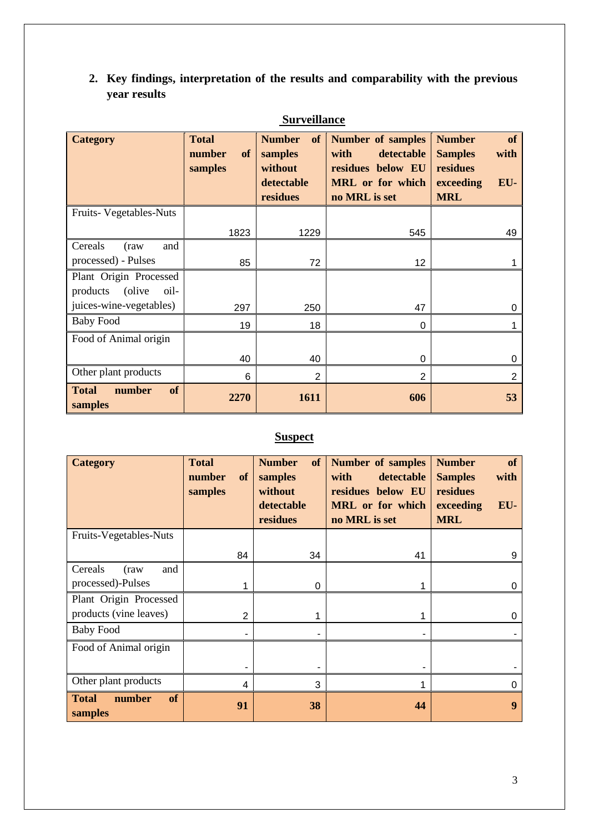**2. Key findings, interpretation of the results and comparability with the previous year results**

| <b>Category</b>                         | <b>Total</b><br>number<br><b>of</b><br>samples | <b>Number</b><br><b>of</b><br>samples<br>without<br>detectable<br>residues | <b>Number of samples</b><br>with<br>detectable<br>residues below EU<br><b>MRL</b> or for which<br>no MRL is set | <b>Number</b><br>of<br>with<br><b>Samples</b><br>residues<br>EU-<br>exceeding<br><b>MRL</b> |
|-----------------------------------------|------------------------------------------------|----------------------------------------------------------------------------|-----------------------------------------------------------------------------------------------------------------|---------------------------------------------------------------------------------------------|
| Fruits- Vegetables-Nuts                 |                                                |                                                                            |                                                                                                                 |                                                                                             |
|                                         | 1823                                           | 1229                                                                       | 545                                                                                                             | 49                                                                                          |
| Cereals<br>and<br>(raw                  |                                                |                                                                            |                                                                                                                 |                                                                                             |
| processed) - Pulses                     | 85                                             | 72                                                                         | 12                                                                                                              |                                                                                             |
| Plant Origin Processed                  |                                                |                                                                            |                                                                                                                 |                                                                                             |
| (olive<br>products<br>oil-              |                                                |                                                                            |                                                                                                                 |                                                                                             |
| juices-wine-vegetables)                 | 297                                            | 250                                                                        | 47                                                                                                              | 0                                                                                           |
| <b>Baby Food</b>                        | 19                                             | 18                                                                         | 0                                                                                                               |                                                                                             |
| Food of Animal origin                   |                                                |                                                                            |                                                                                                                 |                                                                                             |
|                                         | 40                                             | 40                                                                         | 0                                                                                                               | 0                                                                                           |
| Other plant products                    | 6                                              | $\overline{2}$                                                             | 2                                                                                                               | $\overline{2}$                                                                              |
| of<br><b>Total</b><br>number<br>samples | 2270                                           | 1611                                                                       | 606                                                                                                             | 53                                                                                          |

# **Surveillance**

# **Suspect**

| <b>Category</b>                              | <b>Total</b><br>number<br>of<br>samples | <b>Number</b><br>samples<br>without<br>detectable<br>residues | of   Number of samples<br>detectable<br>with<br>residues below EU<br><b>MRL</b> or for which<br>no MRL is set | of<br><b>Number</b><br>with<br><b>Samples</b><br>residues<br>EU-<br>exceeding<br><b>MRL</b> |
|----------------------------------------------|-----------------------------------------|---------------------------------------------------------------|---------------------------------------------------------------------------------------------------------------|---------------------------------------------------------------------------------------------|
| Fruits-Vegetables-Nuts                       |                                         |                                                               |                                                                                                               |                                                                                             |
|                                              | 84                                      | 34                                                            | 41                                                                                                            | 9                                                                                           |
| Cereals<br>and<br>(raw)<br>processed)-Pulses | 1                                       | 0                                                             | 1                                                                                                             | 0                                                                                           |
| Plant Origin Processed                       |                                         |                                                               |                                                                                                               |                                                                                             |
| products (vine leaves)                       | 2                                       |                                                               | 1                                                                                                             | 0                                                                                           |
| <b>Baby Food</b>                             | ۰                                       |                                                               |                                                                                                               |                                                                                             |
| Food of Animal origin                        |                                         |                                                               |                                                                                                               |                                                                                             |
| Other plant products                         | 4                                       | 3                                                             | 1                                                                                                             | 0                                                                                           |
| of<br>number<br><b>Total</b><br>samples      | 91                                      | 38                                                            | 44                                                                                                            | $\boldsymbol{9}$                                                                            |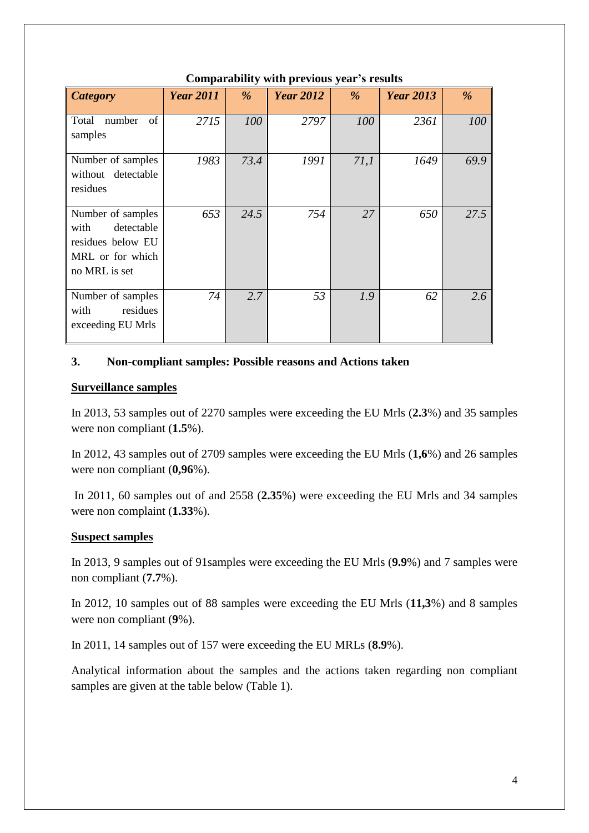| <b>Category</b>                                                                                   | <b>Year 2011</b> | %    | <b>Year 2012</b> | %    | <b>Year 2013</b> | %    |
|---------------------------------------------------------------------------------------------------|------------------|------|------------------|------|------------------|------|
| of<br>Total<br>number<br>samples                                                                  | 2715             | 100  | 2797             | 100  | 2361             | 100  |
| Number of samples<br>without detectable<br>residues                                               | 1983             | 73.4 | 1991             | 71,1 | 1649             | 69.9 |
| Number of samples<br>detectable<br>with<br>residues below EU<br>MRL or for which<br>no MRL is set | 653              | 24.5 | 754              | 27   | 650              | 27.5 |
| Number of samples<br>with<br>residues<br>exceeding EU Mrls                                        | 74               | 2.7  | 53               | 1.9  | 62               | 2.6  |

## **Comparability with previous year's results**

### **3. Non-compliant samples: Possible reasons and Actions taken**

### **Surveillance samples**

In 2013, 53 samples out of 2270 samples were exceeding the EU Mrls (**2.3**%) and 35 samples were non compliant (**1.5**%).

In 2012, 43 samples out of 2709 samples were exceeding the EU Mrls (**1,6**%) and 26 samples were non compliant (**0,96**%).

In 2011, 60 samples out of and 2558 (**2.35**%) were exceeding the EU Mrls and 34 samples were non complaint (**1.33**%).

## **Suspect samples**

In 2013, 9 samples out of 91samples were exceeding the EU Mrls (**9.9**%) and 7 samples were non compliant (**7.7**%).

In 2012, 10 samples out of 88 samples were exceeding the EU Mrls (**11,3**%) and 8 samples were non compliant (**9**%).

In 2011, 14 samples out of 157 were exceeding the EU MRLs (**8.9**%).

Analytical information about the samples and the actions taken regarding non compliant samples are given at the table below (Table 1).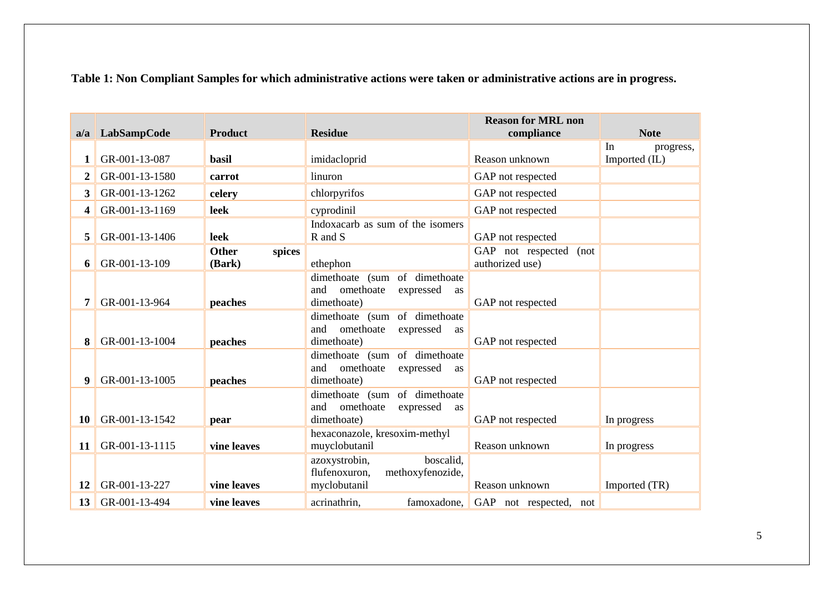|     | LabSampCode    | <b>Product</b>         | <b>Residue</b>                      | <b>Reason for MRL non</b><br>compliance | <b>Note</b>                      |
|-----|----------------|------------------------|-------------------------------------|-----------------------------------------|----------------------------------|
| a/a |                |                        |                                     |                                         |                                  |
| 1   | GR-001-13-087  | basil                  | imidacloprid                        | Reason unknown                          | In<br>progress,<br>Imported (IL) |
|     |                |                        |                                     |                                         |                                  |
| 2   | GR-001-13-1580 | carrot                 | linuron                             | GAP not respected                       |                                  |
| 3   | GR-001-13-1262 | celery                 | chlorpyrifos                        | GAP not respected                       |                                  |
| 4   | GR-001-13-1169 | leek                   | cyprodinil                          | GAP not respected                       |                                  |
|     |                |                        | Indoxacarb as sum of the isomers    |                                         |                                  |
| 5   | GR-001-13-1406 | leek                   | R and S                             | GAP not respected                       |                                  |
|     |                | <b>Other</b><br>spices |                                     | GAP not respected<br>(not)              |                                  |
| 6   | GR-001-13-109  | (Bark)                 | ethephon                            | authorized use)                         |                                  |
|     |                |                        | of dimethoate<br>dimethoate (sum    |                                         |                                  |
|     |                |                        | omethoate<br>and<br>expressed<br>as |                                         |                                  |
| 7   | GR-001-13-964  | peaches                | dimethoate)                         | GAP not respected                       |                                  |
|     |                |                        | of dimethoate<br>dimethoate<br>(sum |                                         |                                  |
|     |                |                        | and<br>omethoate<br>expressed<br>as |                                         |                                  |
| 8   | GR-001-13-1004 | peaches                | dimethoate)                         | GAP not respected                       |                                  |
|     |                |                        | of dimethoate<br>dimethoate (sum    |                                         |                                  |
|     |                |                        | omethoate<br>and<br>expressed<br>as |                                         |                                  |
| 9   | GR-001-13-1005 | peaches                | dimethoate)                         | GAP not respected                       |                                  |
|     |                |                        | dimethoate (sum of dimethoate       |                                         |                                  |
|     |                |                        | omethoate<br>and<br>expressed<br>as |                                         |                                  |
| 10  | GR-001-13-1542 | pear                   | dimethoate)                         | GAP not respected                       | In progress                      |
|     |                |                        | hexaconazole, kresoxim-methyl       |                                         |                                  |
| 11  | GR-001-13-1115 | vine leaves            | muyclobutanil                       | Reason unknown                          | In progress                      |
|     |                |                        | boscalid,<br>azoxystrobin,          |                                         |                                  |
|     |                |                        | flufenoxuron,<br>methoxyfenozide,   |                                         |                                  |
| 12  | GR-001-13-227  | vine leaves            | myclobutanil                        | Reason unknown                          | Imported (TR)                    |
| 13  | GR-001-13-494  | vine leaves            | acrinathrin,<br>famoxadone,         | GAP not respected, not                  |                                  |

**Table 1: Non Compliant Samples for which administrative actions were taken or administrative actions are in progress.**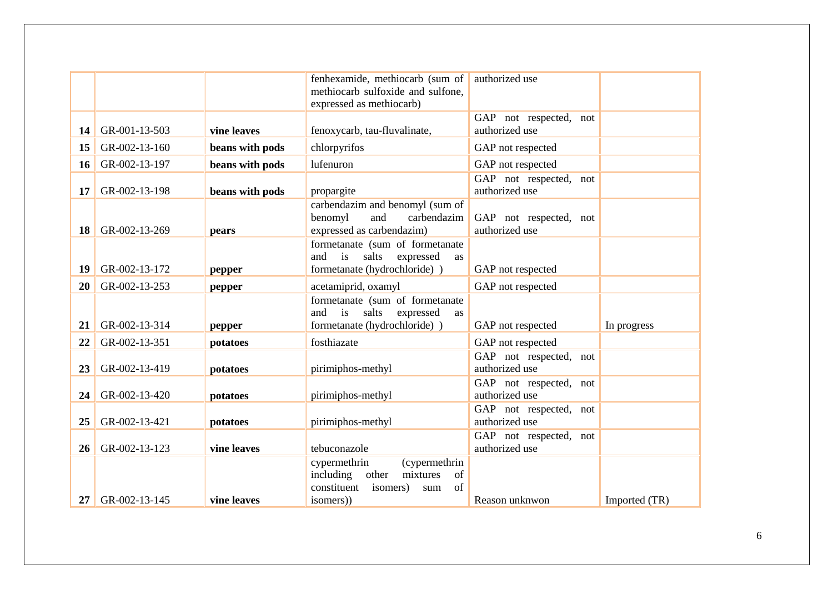|    |               |                 | fenhexamide, methiocarb (sum of                                          | authorized use                              |               |
|----|---------------|-----------------|--------------------------------------------------------------------------|---------------------------------------------|---------------|
|    |               |                 | methiocarb sulfoxide and sulfone,                                        |                                             |               |
|    |               |                 | expressed as methiocarb)                                                 |                                             |               |
|    |               |                 |                                                                          | GAP not respected,<br>not                   |               |
| 14 | GR-001-13-503 | vine leaves     | fenoxycarb, tau-fluvalinate,                                             | authorized use                              |               |
| 15 | GR-002-13-160 | beans with pods | chlorpyrifos                                                             | GAP not respected                           |               |
| 16 | GR-002-13-197 | beans with pods | lufenuron                                                                | GAP not respected                           |               |
|    |               |                 |                                                                          | GAP not respected,<br>not                   |               |
| 17 | GR-002-13-198 | beans with pods | propargite                                                               | authorized use                              |               |
|    |               |                 | carbendazim and benomyl (sum of                                          |                                             |               |
|    | GR-002-13-269 |                 | benomyl<br>and<br>carbendazim                                            | GAP not respected,<br>not<br>authorized use |               |
| 18 |               | pears           | expressed as carbendazim)                                                |                                             |               |
|    |               |                 | formetanate (sum of formetanate<br>is<br>salts<br>expressed<br>and<br>as |                                             |               |
| 19 | GR-002-13-172 | pepper          | formetanate (hydrochloride))                                             | GAP not respected                           |               |
|    |               |                 |                                                                          |                                             |               |
| 20 | GR-002-13-253 | pepper          | acetamiprid, oxamyl                                                      | GAP not respected                           |               |
|    |               |                 | formetanate (sum of formetanate<br>and<br>is<br>salts<br>expressed       |                                             |               |
| 21 | GR-002-13-314 | pepper          | as<br>formetanate (hydrochloride))                                       | GAP not respected                           | In progress   |
|    |               |                 |                                                                          |                                             |               |
| 22 | GR-002-13-351 | potatoes        | fosthiazate                                                              | GAP not respected                           |               |
|    | GR-002-13-419 |                 |                                                                          | GAP not respected,<br>not<br>authorized use |               |
| 23 |               | potatoes        | pirimiphos-methyl                                                        |                                             |               |
| 24 | GR-002-13-420 | potatoes        | pirimiphos-methyl                                                        | GAP not respected,<br>not<br>authorized use |               |
|    |               |                 |                                                                          | GAP not respected,<br>not                   |               |
| 25 | GR-002-13-421 | potatoes        | pirimiphos-methyl                                                        | authorized use                              |               |
|    |               |                 |                                                                          | GAP not respected,<br>not                   |               |
| 26 | GR-002-13-123 | vine leaves     | tebuconazole                                                             | authorized use                              |               |
|    |               |                 | (cypermethrin<br>cypermethrin                                            |                                             |               |
|    |               |                 | including<br>other<br>mixtures<br>of                                     |                                             |               |
|    |               |                 | constituent<br>of<br>isomers)<br>sum                                     |                                             |               |
| 27 | GR-002-13-145 | vine leaves     | isomers))                                                                | Reason unknwon                              | Imported (TR) |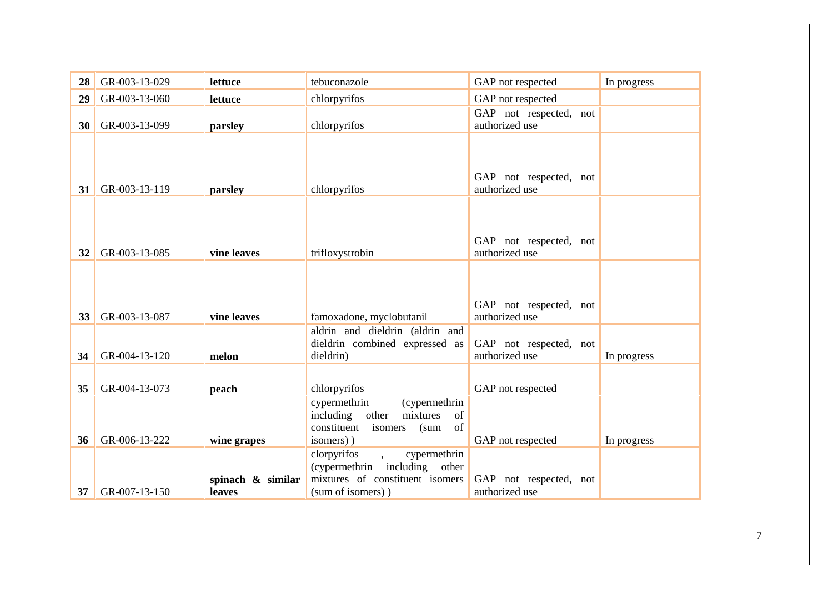| 28 | GR-003-13-029 | lettuce                        | tebuconazole                                                                                                               | GAP not respected                           | In progress |
|----|---------------|--------------------------------|----------------------------------------------------------------------------------------------------------------------------|---------------------------------------------|-------------|
| 29 | GR-003-13-060 | lettuce                        | chlorpyrifos                                                                                                               | GAP not respected                           |             |
| 30 | GR-003-13-099 | parsley                        | chlorpyrifos                                                                                                               | GAP not respected,<br>not<br>authorized use |             |
| 31 | GR-003-13-119 | parsley                        | chlorpyrifos                                                                                                               | GAP not respected, not<br>authorized use    |             |
| 32 | GR-003-13-085 | vine leaves                    | trifloxystrobin                                                                                                            | GAP not respected, not<br>authorized use    |             |
| 33 | GR-003-13-087 | vine leaves                    | famoxadone, myclobutanil                                                                                                   | GAP not respected,<br>not<br>authorized use |             |
| 34 | GR-004-13-120 | melon                          | aldrin and dieldrin (aldrin and<br>dieldrin combined expressed as<br>dieldrin)                                             | GAP not respected, not<br>authorized use    | In progress |
| 35 | GR-004-13-073 | peach                          | chlorpyrifos                                                                                                               | GAP not respected                           |             |
| 36 | GR-006-13-222 | wine grapes                    | cypermethrin<br>(cypermethrin<br>including<br>other<br>mixtures<br>of<br>constituent<br>of<br>isomers<br>(sum<br>isomers)) | GAP not respected                           | In progress |
| 37 | GR-007-13-150 | spinach $\&$ similar<br>leaves | cypermethrin<br>clorpyrifos<br>(cypermethrin<br>including<br>other<br>mixtures of constituent isomers<br>(sum of isomers)) | GAP not respected,<br>not<br>authorized use |             |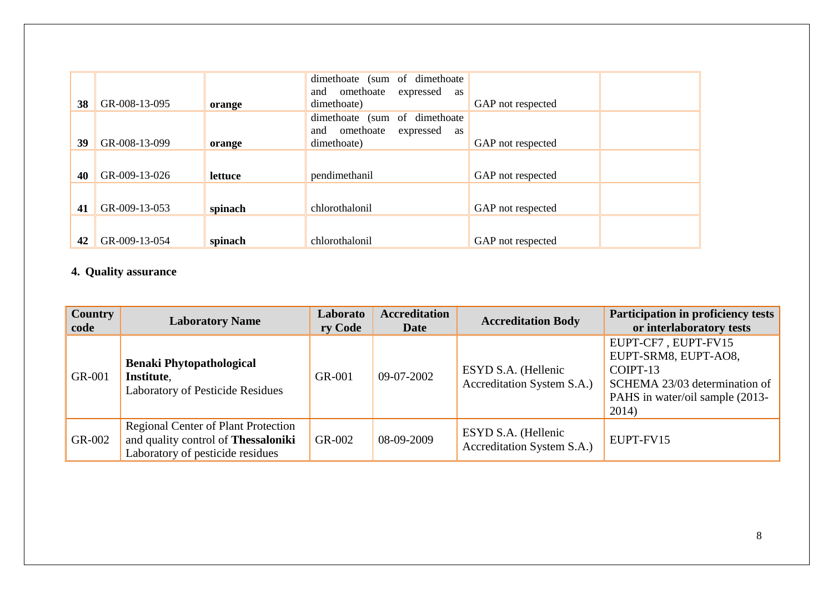|    |               |                | dimethoate (sum of dimethoate)      |                   |
|----|---------------|----------------|-------------------------------------|-------------------|
|    |               |                | omethoate<br>and<br>expressed<br>as |                   |
| 38 | GR-008-13-095 | orange         | dimethoate)                         | GAP not respected |
|    |               |                | dimethoate (sum of dimethoate)      |                   |
|    |               |                | omethoate<br>and<br>expressed<br>as |                   |
| 39 | GR-008-13-099 | orange         | dimethoate)                         | GAP not respected |
|    |               |                |                                     |                   |
| 40 | GR-009-13-026 | <b>lettuce</b> | pendimethanil                       | GAP not respected |
|    |               |                |                                     |                   |
|    |               |                |                                     |                   |
| 41 | GR-009-13-053 | spinach        | chlorothalonil                      | GAP not respected |
|    |               |                |                                     |                   |
|    |               |                |                                     |                   |
| 42 | GR-009-13-054 | spinach        | chlorothalonil                      | GAP not respected |

# **4. Quality assurance**

| <b>Country</b><br>code | <b>Laboratory Name</b>                                                                                                | Laborato<br>ry Code | <b>Accreditation</b><br>Date | <b>Accreditation Body</b>                         | Participation in proficiency tests<br>or interlaboratory tests                                                                       |
|------------------------|-----------------------------------------------------------------------------------------------------------------------|---------------------|------------------------------|---------------------------------------------------|--------------------------------------------------------------------------------------------------------------------------------------|
| GR-001                 | <b>Benaki Phytopathological</b><br>Institute,<br><b>Laboratory of Pesticide Residues</b>                              | GR-001              | 09-07-2002                   | ESYD S.A. (Hellenic<br>Accreditation System S.A.) | EUPT-CF7, EUPT-FV15<br>EUPT-SRM8, EUPT-AO8,<br>COIPT-13<br>SCHEMA 23/03 determination of<br>PAHS in water/oil sample (2013-<br>2014) |
| GR-002                 | <b>Regional Center of Plant Protection</b><br>and quality control of Thessaloniki<br>Laboratory of pesticide residues | GR-002              | 08-09-2009                   | ESYD S.A. (Hellenic<br>Accreditation System S.A.) | EUPT-FV15                                                                                                                            |